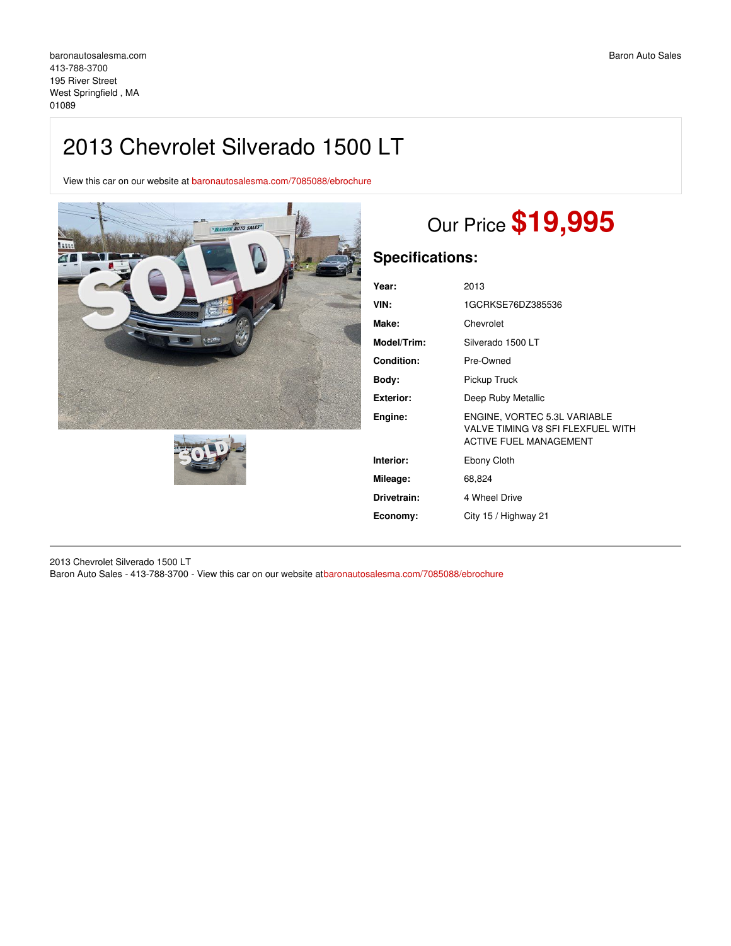## 2013 Chevrolet Silverado 1500 LT

View this car on our website at [baronautosalesma.com/7085088/ebrochure](https://baronautosalesma.com/vehicle/7085088/2013-chevrolet-silverado-1500-lt-west-springfield-ma-01089/7085088/ebrochure)





# Our Price **\$19,995**

## **Specifications:**

| Year:             | 2013                                                                                        |
|-------------------|---------------------------------------------------------------------------------------------|
| VIN:              | 1GCRKSE76DZ385536                                                                           |
| Make:             | Chevrolet                                                                                   |
| Model/Trim:       | Silverado 1500 LT                                                                           |
| <b>Condition:</b> | Pre-Owned                                                                                   |
| Body:             | Pickup Truck                                                                                |
| <b>Exterior:</b>  | Deep Ruby Metallic                                                                          |
| Engine:           | ENGINE. VORTEC 5.3L VARIABLE<br>VALVE TIMING V8 SFI FLEXFUEL WITH<br>ACTIVE FUEL MANAGEMENT |
| Interior:         | Ebony Cloth                                                                                 |
| Mileage:          | 68,824                                                                                      |
| Drivetrain:       | 4 Wheel Drive                                                                               |
| Economy:          | City 15 / Highway 21                                                                        |

2013 Chevrolet Silverado 1500 LT Baron Auto Sales - 413-788-3700 - View this car on our website at[baronautosalesma.com/7085088/ebrochure](https://baronautosalesma.com/vehicle/7085088/2013-chevrolet-silverado-1500-lt-west-springfield-ma-01089/7085088/ebrochure)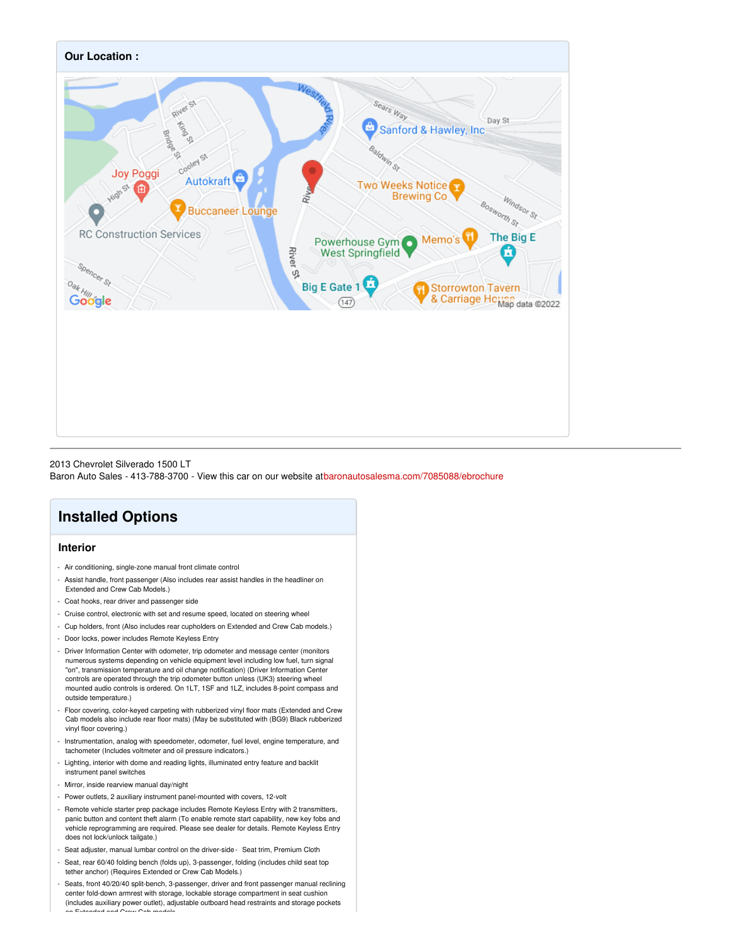

2013 Chevrolet Silverado 1500 LT

Baron Auto Sales - 413-788-3700 - View this car on our website at[baronautosalesma.com/7085088/ebrochure](https://baronautosalesma.com/vehicle/7085088/2013-chevrolet-silverado-1500-lt-west-springfield-ma-01089/7085088/ebrochure)

### **Installed Options**

#### **Interior**

- Air conditioning, single-zone manual front climate control
- Assist handle, front passenger (Also includes rear assist handles in the headliner on Extended and Crew Cab Models.)
- Coat hooks, rear driver and passenger side
- Cruise control, electronic with set and resume speed, located on steering wheel
- Cup holders, front (Also includes rear cupholders on Extended and Crew Cab models.)
- Door locks, power includes Remote Keyless Entry
- Driver Information Center with odometer, trip odometer and message center (monitors numerous systems depending on vehicle equipment level including low fuel, turn signal "on", transmission temperature and oil change notification) (Driver Information Center controls are operated through the trip odometer button unless (UK3) steering wheel mounted audio controls is ordered. On 1LT, 1SF and 1LZ, includes 8-point compass and outside temperature.)
- Floor covering, color-keyed carpeting with rubberized vinyl floor mats (Extended and Crew Cab models also include rear floor mats) (May be substituted with (BG9) Black rubberized vinyl floor covering.)
- Instrumentation, analog with speedometer, odometer, fuel level, engine temperature, and tachometer (Includes voltmeter and oil pressure indicators.)
- Lighting, interior with dome and reading lights, illuminated entry feature and backlit instrument panel switches
- Mirror, inside rearview manual day/night
- Power outlets, 2 auxiliary instrument panel-mounted with covers, 12-volt
- Remote vehicle starter prep package includes Remote Keyless Entry with 2 transmitters, panic button and content theft alarm (To enable remote start capability, new key fobs and vehicle reprogramming are required. Please see dealer for details. Remote Keyless Entry does not lock/unlock tailgate.)
- Seat adjuster, manual lumbar control on the driver-side Seat trim, Premium Cloth
- Seat, rear 60/40 folding bench (folds up), 3-passenger, folding (includes child seat top tether anchor) (Requires Extended or Crew Cab Models.)
- Seats, front 40/20/40 split-bench, 3-passenger, driver and front passenger manual reclining center fold-down armrest with storage, lockable storage compartment in seat cushion (includes auxiliary power outlet), adjustable outboard head restraints and storage pockets on<br>On Extended and C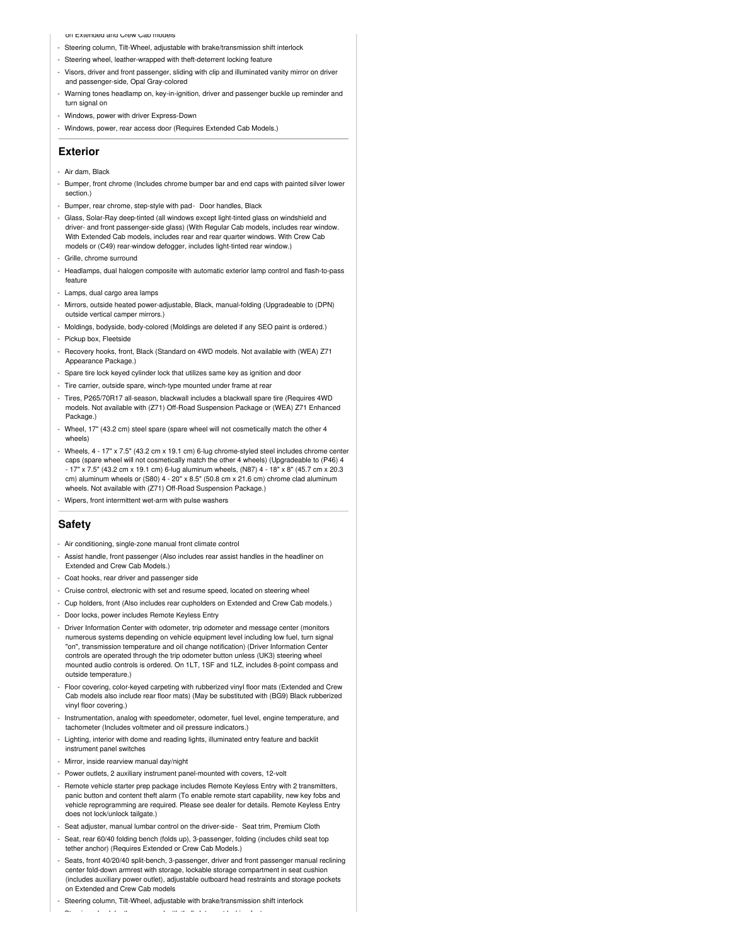on Extended and Crew Cab models

- Steering column, Tilt-Wheel, adjustable with brake/transmission shift interlock
- Steering wheel, leather-wrapped with theft-deterrent locking feature
- Visors, driver and front passenger, sliding with clip and illuminated vanity mirror on driver and passenger-side, Opal Gray-colored
- Warning tones headlamp on, key-in-ignition, driver and passenger buckle up reminder and turn signal on
- Windows, power with driver Express-Down
- Windows, power, rear access door (Requires Extended Cab Models.)

#### **Exterior**

- Air dam, Black
- Bumper, front chrome (Includes chrome bumper bar and end caps with painted silver lower section.)
- Bumper, rear chrome, step-style with pad- Door handles, Black
- Glass, Solar-Ray deep-tinted (all windows except light-tinted glass on windshield and driver- and front passenger-side glass) (With Regular Cab models, includes rear window. With Extended Cab models, includes rear and rear quarter windows. With Crew Cab models or (C49) rear-window defogger, includes light-tinted rear window.)
- Grille, chrome surround
- Headlamps, dual halogen composite with automatic exterior lamp control and flash-to-pass feature
- Lamps, dual cargo area lamps
- Mirrors, outside heated power-adjustable, Black, manual-folding (Upgradeable to (DPN) outside vertical camper mirrors.)
- Moldings, bodyside, body-colored (Moldings are deleted if any SEO paint is ordered.)
- Pickup box, Fleetside
- Recovery hooks, front, Black (Standard on 4WD models. Not available with (WEA) Z71 Appearance Package.)
- Spare tire lock keyed cylinder lock that utilizes same key as ignition and door
- Tire carrier, outside spare, winch-type mounted under frame at rear
- Tires, P265/70R17 all-season, blackwall includes a blackwall spare tire (Requires 4WD models. Not available with (Z71) Off-Road Suspension Package or (WEA) Z71 Enhanced Package.)
- Wheel, 17" (43.2 cm) steel spare (spare wheel will not cosmetically match the other 4 wheels)
- Wheels, 4 17" x 7.5" (43.2 cm x 19.1 cm) 6-lug chrome-styled steel includes chrome center caps (spare wheel will not cosmetically match the other 4 wheels) (Upgradeable to (P46) 4 - 17" x 7.5" (43.2 cm x 19.1 cm) 6-lug aluminum wheels, (N87) 4 - 18" x 8" (45.7 cm x 20.3 cm) aluminum wheels or  $(S80)$  4 -  $20"$  x 8.5" (50.8 cm x 21.6 cm) chrome clad aluminum wheels. Not available with (Z71) Off-Road Suspension Package.)
- Wipers, front intermittent wet-arm with pulse washers

#### **Safety**

- Air conditioning, single-zone manual front climate control
- Assist handle, front passenger (Also includes rear assist handles in the headliner on Extended and Crew Cab Models.)
- Coat hooks, rear driver and passenger side
- Cruise control, electronic with set and resume speed, located on steering wheel
- Cup holders, front (Also includes rear cupholders on Extended and Crew Cab models.)
- Door locks, power includes Remote Keyless Entry
- Driver Information Center with odometer, trip odometer and message center (monitors numerous systems depending on vehicle equipment level including low fuel, turn signal "on", transmission temperature and oil change notification) (Driver Information Center controls are operated through the trip odometer button unless (UK3) steering wheel mounted audio controls is ordered. On 1LT, 1SF and 1LZ, includes 8-point compass and outside temperature.)
- Floor covering, color-keyed carpeting with rubberized vinyl floor mats (Extended and Crew Cab models also include rear floor mats) (May be substituted with (BG9) Black rubberized vinyl floor covering.)
- Instrumentation, analog with speedometer, odometer, fuel level, engine temperature, and tachometer (Includes voltmeter and oil pressure indicators.)
- Lighting, interior with dome and reading lights, illuminated entry feature and backlit instrument panel switches
- Mirror, inside rearview manual day/night
- Power outlets, 2 auxiliary instrument panel-mounted with covers, 12-volt
- Remote vehicle starter prep package includes Remote Keyless Entry with 2 transmitters, panic button and content theft alarm (To enable remote start capability, new key fobs and vehicle reprogramming are required. Please see dealer for details. Remote Keyless Entry does not lock/unlock tailgate.)
- Seat adjuster, manual lumbar control on the driver-side Seat trim, Premium Cloth
- Seat, rear 60/40 folding bench (folds up), 3-passenger, folding (includes child seat top tether anchor) (Requires Extended or Crew Cab Models.)
- Seats, front 40/20/40 split-bench, 3-passenger, driver and front passenger manual reclining center fold-down armrest with storage, lockable storage compartment in seat cushion (includes auxiliary power outlet), adjustable outboard head restraints and storage pockets on Extended and Crew Cab models
- Steering column, Tilt-Wheel, adjustable with brake/transmission shift interlock
- Steering wheel, leather-wrapped with theft-deterrent locking feature